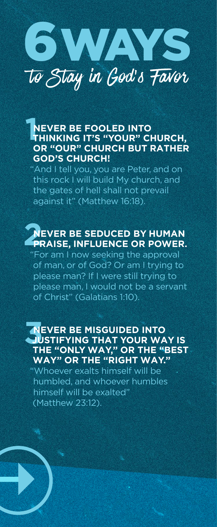

## **12**<br>**THINKING IT'S "YOUR" CHURCH,**<br> **12 ANOISE CHURCH, CHURCH, CHURCH, NEVER BE FOOLED INTO OR "OUR" CHURCH BUT RATHER GOD'S CHURCH!**

"And I tell you, you are Peter, and on this rock I will build My church, and the gates of hell shall not prevail against it" (Matthew 16:18).

# **22 DEVER BE SEDUCED BY HUMAN**<br>**PRAISE, INFLUENCE OR POWER. NEVER BE SEDUCED BY HUMAN**

"For am I now seeking the approval of man, or of God? Or am I trying to please man? If I were still trying to please man, I would not be a servant of Christ" (Galatians 1:10).

## **SOUTHER BE MISGUIDED INTO<br>
JUSTIFYING THAT YOUR WAY IS<br>
THE "ONLY WAY" OP THE "REST" NEVER BE MISGUIDED INTO THE "ONLY WAY," OR THE "BEST WAY" OR THE "RIGHT WAY."**

"Whoever exalts himself will be humbled, and whoever humbles himself will be exalted" (Matthew 23:12).